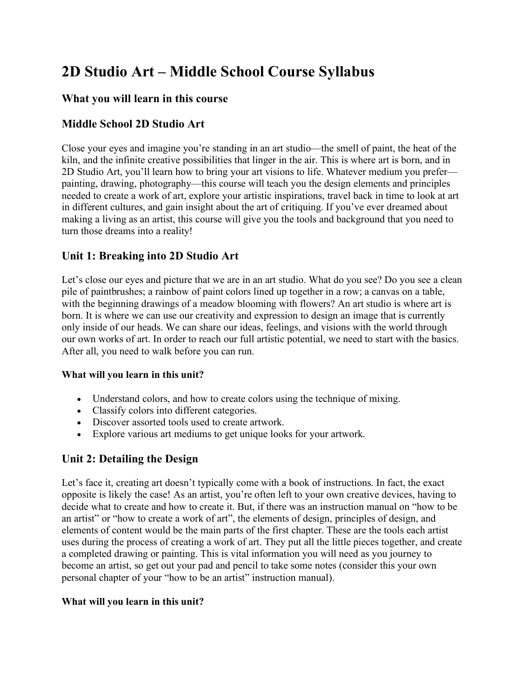# **2D Studio Art – Middle School Course Syllabus**

## **What you will learn in this course**

## **Middle School 2D Studio Art**

Close your eyes and imagine you're standing in an art studio—the smell of paint, the heat of the kiln, and the infinite creative possibilities that linger in the air. This is where art is born, and in 2D Studio Art, you'll learn how to bring your art visions to life. Whatever medium you prefer painting, drawing, photography—this course will teach you the design elements and principles needed to create a work of art, explore your artistic inspirations, travel back in time to look at art in different cultures, and gain insight about the art of critiquing. If you've ever dreamed about making a living as an artist, this course will give you the tools and background that you need to turn those dreams into a reality!

## **Unit 1: Breaking into 2D Studio Art**

Let's close our eyes and picture that we are in an art studio. What do you see? Do you see a clean pile of paintbrushes; a rainbow of paint colors lined up together in a row; a canvas on a table, with the beginning drawings of a meadow blooming with flowers? An art studio is where art is born. It is where we can use our creativity and expression to design an image that is currently only inside of our heads. We can share our ideas, feelings, and visions with the world through our own works of art. In order to reach our full artistic potential, we need to start with the basics. After all, you need to walk before you can run.

#### **What will you learn in this unit?**

- Understand colors, and how to create colors using the technique of mixing.
- Classify colors into different categories.
- Discover assorted tools used to create artwork.
- Explore various art mediums to get unique looks for your artwork.

## **Unit 2: Detailing the Design**

Let's face it, creating art doesn't typically come with a book of instructions. In fact, the exact opposite is likely the case! As an artist, you're often left to your own creative devices, having to decide what to create and how to create it. But, if there was an instruction manual on "how to be an artist" or "how to create a work of art", the elements of design, principles of design, and elements of content would be the main parts of the first chapter. These are the tools each artist uses during the process of creating a work of art. They put all the little pieces together, and create a completed drawing or painting. This is vital information you will need as you journey to become an artist, so get out your pad and pencil to take some notes (consider this your own personal chapter of your "how to be an artist" instruction manual).

#### **What will you learn in this unit?**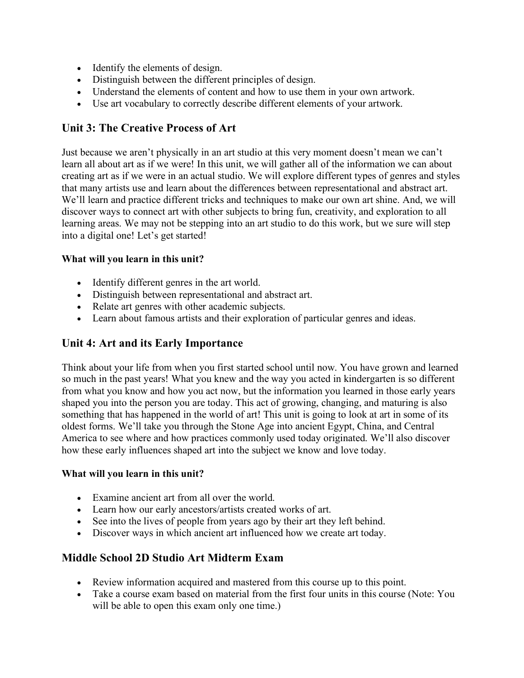- Identify the elements of design.
- Distinguish between the different principles of design.
- Understand the elements of content and how to use them in your own artwork.
- Use art vocabulary to correctly describe different elements of your artwork.

## **Unit 3: The Creative Process of Art**

Just because we aren't physically in an art studio at this very moment doesn't mean we can't learn all about art as if we were! In this unit, we will gather all of the information we can about creating art as if we were in an actual studio. We will explore different types of genres and styles that many artists use and learn about the differences between representational and abstract art. We'll learn and practice different tricks and techniques to make our own art shine. And, we will discover ways to connect art with other subjects to bring fun, creativity, and exploration to all learning areas. We may not be stepping into an art studio to do this work, but we sure will step into a digital one! Let's get started!

#### **What will you learn in this unit?**

- Identify different genres in the art world.
- Distinguish between representational and abstract art.
- Relate art genres with other academic subjects.
- Learn about famous artists and their exploration of particular genres and ideas.

# **Unit 4: Art and its Early Importance**

Think about your life from when you first started school until now. You have grown and learned so much in the past years! What you knew and the way you acted in kindergarten is so different from what you know and how you act now, but the information you learned in those early years shaped you into the person you are today. This act of growing, changing, and maturing is also something that has happened in the world of art! This unit is going to look at art in some of its oldest forms. We'll take you through the Stone Age into ancient Egypt, China, and Central America to see where and how practices commonly used today originated. We'll also discover how these early influences shaped art into the subject we know and love today.

#### **What will you learn in this unit?**

- Examine ancient art from all over the world.
- Learn how our early ancestors/artists created works of art.
- See into the lives of people from years ago by their art they left behind.
- Discover ways in which ancient art influenced how we create art today.

# **Middle School 2D Studio Art Midterm Exam**

- Review information acquired and mastered from this course up to this point.
- Take a course exam based on material from the first four units in this course (Note: You will be able to open this exam only one time.)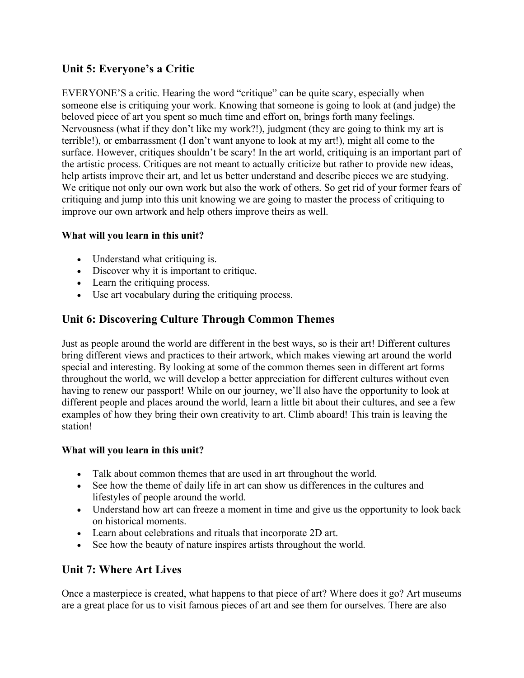# **Unit 5: Everyone's a Critic**

EVERYONE'S a critic. Hearing the word "critique" can be quite scary, especially when someone else is critiquing your work. Knowing that someone is going to look at (and judge) the beloved piece of art you spent so much time and effort on, brings forth many feelings. Nervousness (what if they don't like my work?!), judgment (they are going to think my art is terrible!), or embarrassment (I don't want anyone to look at my art!), might all come to the surface. However, critiques shouldn't be scary! In the art world, critiquing is an important part of the artistic process. Critiques are not meant to actually criticize but rather to provide new ideas, help artists improve their art, and let us better understand and describe pieces we are studying. We critique not only our own work but also the work of others. So get rid of your former fears of critiquing and jump into this unit knowing we are going to master the process of critiquing to improve our own artwork and help others improve theirs as well.

#### **What will you learn in this unit?**

- Understand what critiquing is.
- Discover why it is important to critique.
- Learn the critiquing process.
- Use art vocabulary during the critiquing process.

# **Unit 6: Discovering Culture Through Common Themes**

Just as people around the world are different in the best ways, so is their art! Different cultures bring different views and practices to their artwork, which makes viewing art around the world special and interesting. By looking at some of the common themes seen in different art forms throughout the world, we will develop a better appreciation for different cultures without even having to renew our passport! While on our journey, we'll also have the opportunity to look at different people and places around the world, learn a little bit about their cultures, and see a few examples of how they bring their own creativity to art. Climb aboard! This train is leaving the station!

#### **What will you learn in this unit?**

- Talk about common themes that are used in art throughout the world.
- See how the theme of daily life in art can show us differences in the cultures and lifestyles of people around the world.
- Understand how art can freeze a moment in time and give us the opportunity to look back on historical moments.
- Learn about celebrations and rituals that incorporate 2D art.
- See how the beauty of nature inspires artists throughout the world.

## **Unit 7: Where Art Lives**

Once a masterpiece is created, what happens to that piece of art? Where does it go? Art museums are a great place for us to visit famous pieces of art and see them for ourselves. There are also